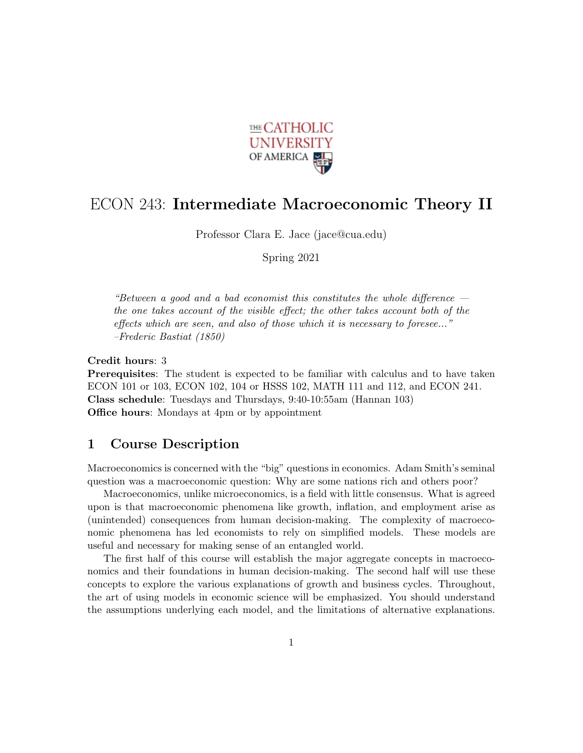

## ECON 243: Intermediate Macroeconomic Theory II

Professor Clara E. Jace (jace@cua.edu)

Spring 2021

"Between a good and a bad economist this constitutes the whole difference  $$ the one takes account of the visible effect; the other takes account both of the effects which are seen, and also of those which it is necessary to foresee..." –Frederic Bastiat (1850)

Credit hours: 3 Prerequisites: The student is expected to be familiar with calculus and to have taken ECON 101 or 103, ECON 102, 104 or HSSS 102, MATH 111 and 112, and ECON 241. Class schedule: Tuesdays and Thursdays, 9:40-10:55am (Hannan 103) Office hours: Mondays at 4pm or by appointment

## 1 Course Description

Macroeconomics is concerned with the "big" questions in economics. Adam Smith's seminal question was a macroeconomic question: Why are some nations rich and others poor?

Macroeconomics, unlike microeconomics, is a field with little consensus. What is agreed upon is that macroeconomic phenomena like growth, inflation, and employment arise as (unintended) consequences from human decision-making. The complexity of macroeconomic phenomena has led economists to rely on simplified models. These models are useful and necessary for making sense of an entangled world.

The first half of this course will establish the major aggregate concepts in macroeconomics and their foundations in human decision-making. The second half will use these concepts to explore the various explanations of growth and business cycles. Throughout, the art of using models in economic science will be emphasized. You should understand the assumptions underlying each model, and the limitations of alternative explanations.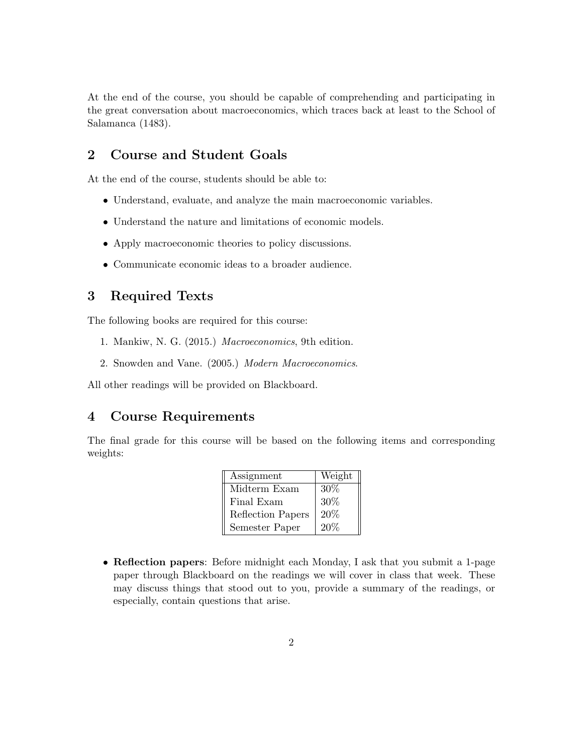At the end of the course, you should be capable of comprehending and participating in the great conversation about macroeconomics, which traces back at least to the School of Salamanca (1483).

## 2 Course and Student Goals

At the end of the course, students should be able to:

- Understand, evaluate, and analyze the main macroeconomic variables.
- Understand the nature and limitations of economic models.
- Apply macroeconomic theories to policy discussions.
- Communicate economic ideas to a broader audience.

## 3 Required Texts

The following books are required for this course:

- 1. Mankiw, N. G. (2015.) Macroeconomics, 9th edition.
- 2. Snowden and Vane. (2005.) Modern Macroeconomics.

All other readings will be provided on Blackboard.

#### 4 Course Requirements

The final grade for this course will be based on the following items and corresponding weights:

| Assignment        | Weight |
|-------------------|--------|
| Midterm Exam      | 30%    |
| Final Exam        | $30\%$ |
| Reflection Papers | 20%    |
| Semester Paper    | 20%    |

• Reflection papers: Before midnight each Monday, I ask that you submit a 1-page paper through Blackboard on the readings we will cover in class that week. These may discuss things that stood out to you, provide a summary of the readings, or especially, contain questions that arise.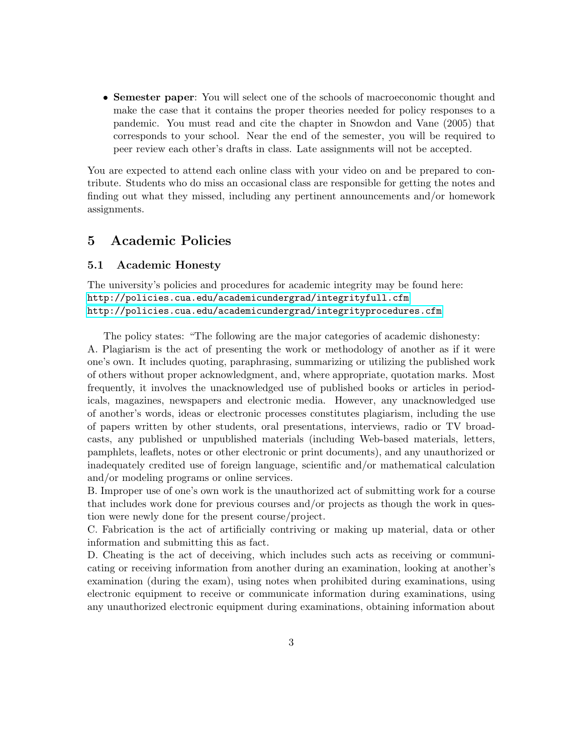• Semester paper: You will select one of the schools of macroeconomic thought and make the case that it contains the proper theories needed for policy responses to a pandemic. You must read and cite the chapter in Snowdon and Vane (2005) that corresponds to your school. Near the end of the semester, you will be required to peer review each other's drafts in class. Late assignments will not be accepted.

You are expected to attend each online class with your video on and be prepared to contribute. Students who do miss an occasional class are responsible for getting the notes and finding out what they missed, including any pertinent announcements and/or homework assignments.

## 5 Academic Policies

#### 5.1 Academic Honesty

The university's policies and procedures for academic integrity may be found here: <http://policies.cua.edu/academicundergrad/integrityfull.cfm> <http://policies.cua.edu/academicundergrad/integrityprocedures.cfm>

The policy states: "The following are the major categories of academic dishonesty: A. Plagiarism is the act of presenting the work or methodology of another as if it were one's own. It includes quoting, paraphrasing, summarizing or utilizing the published work of others without proper acknowledgment, and, where appropriate, quotation marks. Most frequently, it involves the unacknowledged use of published books or articles in periodicals, magazines, newspapers and electronic media. However, any unacknowledged use of another's words, ideas or electronic processes constitutes plagiarism, including the use of papers written by other students, oral presentations, interviews, radio or TV broadcasts, any published or unpublished materials (including Web-based materials, letters, pamphlets, leaflets, notes or other electronic or print documents), and any unauthorized or inadequately credited use of foreign language, scientific and/or mathematical calculation and/or modeling programs or online services.

B. Improper use of one's own work is the unauthorized act of submitting work for a course that includes work done for previous courses and/or projects as though the work in question were newly done for the present course/project.

C. Fabrication is the act of artificially contriving or making up material, data or other information and submitting this as fact.

D. Cheating is the act of deceiving, which includes such acts as receiving or communicating or receiving information from another during an examination, looking at another's examination (during the exam), using notes when prohibited during examinations, using electronic equipment to receive or communicate information during examinations, using any unauthorized electronic equipment during examinations, obtaining information about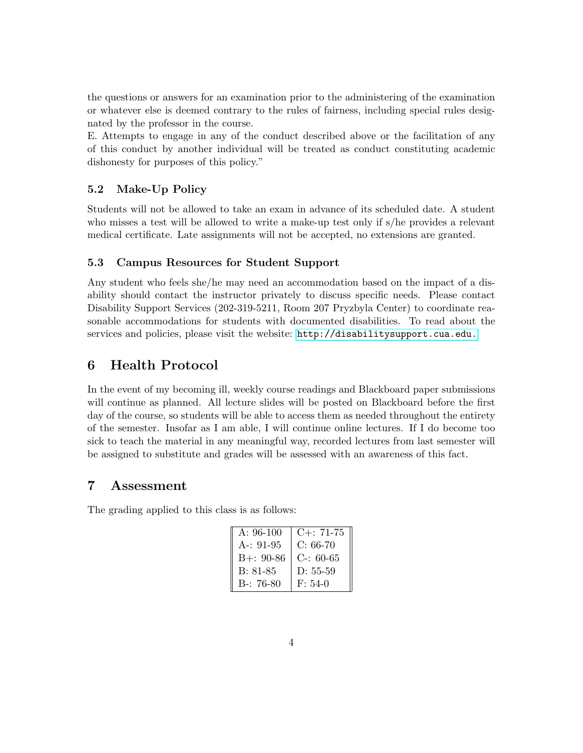the questions or answers for an examination prior to the administering of the examination or whatever else is deemed contrary to the rules of fairness, including special rules designated by the professor in the course.

E. Attempts to engage in any of the conduct described above or the facilitation of any of this conduct by another individual will be treated as conduct constituting academic dishonesty for purposes of this policy."

#### 5.2 Make-Up Policy

Students will not be allowed to take an exam in advance of its scheduled date. A student who misses a test will be allowed to write a make-up test only if s/he provides a relevant medical certificate. Late assignments will not be accepted, no extensions are granted.

#### 5.3 Campus Resources for Student Support

Any student who feels she/he may need an accommodation based on the impact of a disability should contact the instructor privately to discuss specific needs. Please contact Disability Support Services (202-319-5211, Room 207 Pryzbyla Center) to coordinate reasonable accommodations for students with documented disabilities. To read about the services and policies, please visit the website: <http://disabilitysupport.cua.edu.>

## 6 Health Protocol

In the event of my becoming ill, weekly course readings and Blackboard paper submissions will continue as planned. All lecture slides will be posted on Blackboard before the first day of the course, so students will be able to access them as needed throughout the entirety of the semester. Insofar as I am able, I will continue online lectures. If I do become too sick to teach the material in any meaningful way, recorded lectures from last semester will be assigned to substitute and grades will be assessed with an awareness of this fact.

## 7 Assessment

The grading applied to this class is as follows:

| $A: 96-100$   | $C_{+}$ : 71-75 |
|---------------|-----------------|
| $A - 91 - 95$ | $C: 66-70$      |
| $B +: 90-86$  | $C-: 60-65$     |
| $B: 81-85$    | $D: 55-59$      |
| $B-: 76-80$   | $F: 54-0$       |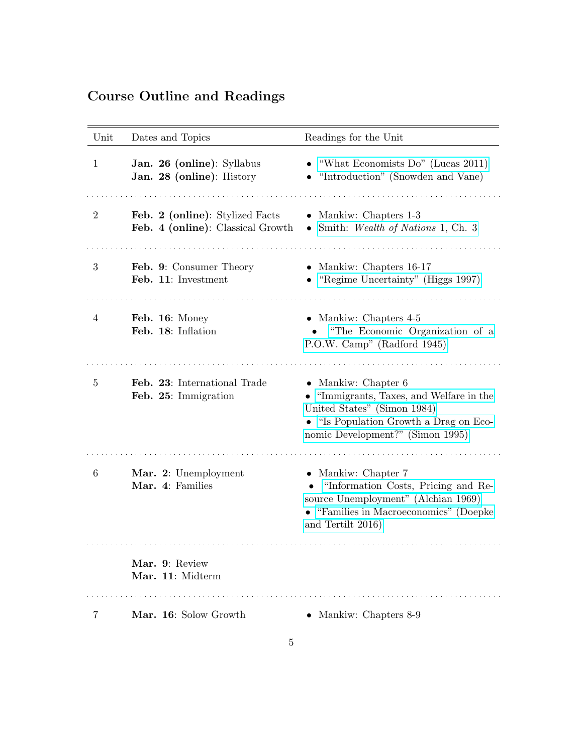# Course Outline and Readings

| Unit           | Dates and Topics                                                     | Readings for the Unit                                                                                                                                                                |
|----------------|----------------------------------------------------------------------|--------------------------------------------------------------------------------------------------------------------------------------------------------------------------------------|
| 1              | Jan. 26 (online): Syllabus<br>Jan. 28 (online): History              | "What Economists Do" (Lucas 2011)<br>"Introduction" (Snowden and Vane)                                                                                                               |
| $\overline{2}$ | Feb. 2 (online): Stylized Facts<br>Feb. 4 (online): Classical Growth | • Mankiw: Chapters 1-3<br>• Smith: Wealth of Nations 1, Ch. 3                                                                                                                        |
| 3              | Feb. 9: Consumer Theory<br>Feb. 11: Investment                       | • Mankiw: Chapters $16-17$<br>"Regime Uncertainty" (Higgs 1997)                                                                                                                      |
| 4              | Feb. 16: Money<br>Feb. 18: Inflation                                 | • Mankiw: Chapters $4-5$<br>"The Economic Organization of a<br>P.O.W. Camp" (Radford 1945)                                                                                           |
| 5              | Feb. 23: International Trade<br>Feb. 25: Immigration                 | $\bullet$ Mankiw: Chapter 6<br>• "Immigrants, Taxes, and Welfare in the<br>United States" (Simon 1984)<br>• "Is Population Growth a Drag on Eco-<br>nomic Development?" (Simon 1995) |
| 6              | Mar. 2: Unemployment<br>Mar. 4: Families                             | • Mankiw: Chapter 7<br>• "Information Costs, Pricing and Re-<br>source Unemployment" (Alchian 1969)<br>• "Families in Macroeconomics" (Doepke<br>and Tertilt 2016)                   |
|                | Mar. 9: Review<br>Mar. 11: Midterm                                   |                                                                                                                                                                                      |
| 7              | Mar. 16: Solow Growth                                                | • Mankiw: Chapters 8-9                                                                                                                                                               |